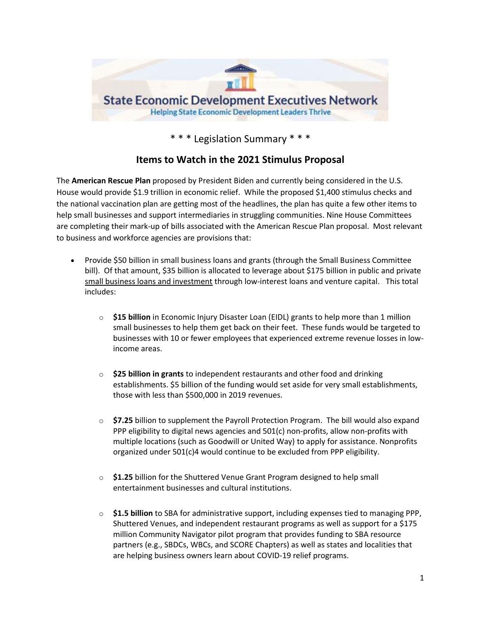

\* \* \* Legislation Summary \* \* \*

## **Items to Watch in the 2021 Stimulus Proposal**

The **American Rescue Plan** proposed by President Biden and currently being considered in the U.S. House would provide \$1.9 trillion in economic relief. While the proposed \$1,400 stimulus checks and the national vaccination plan are getting most of the headlines, the plan has quite a few other items to help small businesses and support intermediaries in struggling communities. Nine House Committees are completing their mark-up of bills associated with the American Rescue Plan proposal. Most relevant to business and workforce agencies are provisions that:

- Provide \$50 billion in small business loans and grants (through the Small Business Committee bill). Of that amount, \$35 billion is allocated to leverage about \$175 billion in public and private [small business loans and investment](https://smallbusiness.house.gov/uploadedfiles/sec_by_sec_rescue_plan_final_2.7.2021.pdf) through low-interest loans and venture capital. This total includes:
	- o **\$15 billion** in Economic Injury Disaster Loan (EIDL) grants to help more than 1 million small businesses to help them get back on their feet. These funds would be targeted to businesses with 10 or fewer employees that experienced extreme revenue losses in lowincome areas.
	- o **\$25 billion in grants** to independent restaurants and other food and drinking establishments. \$5 billion of the funding would set aside for very small establishments, those with less than \$500,000 in 2019 revenues.
	- o **\$7.25** billion to supplement the Payroll Protection Program. The bill would also expand PPP eligibility to digital news agencies and 501(c) non-profits, allow non-profits with multiple locations (such as Goodwill or United Way) to apply for assistance. Nonprofits organized under 501(c)4 would continue to be excluded from PPP eligibility.
	- o **\$1.25** billion for the Shuttered Venue Grant Program designed to help small entertainment businesses and cultural institutions.
	- o **\$1.5 billion** to SBA for administrative support, including expenses tied to managing PPP, Shuttered Venues, and independent restaurant programs as well as support for a \$175 million Community Navigator pilot program that provides funding to SBA resource partners (e.g., SBDCs, WBCs, and SCORE Chapters) as well as states and localities that are helping business owners learn about COVID-19 relief programs.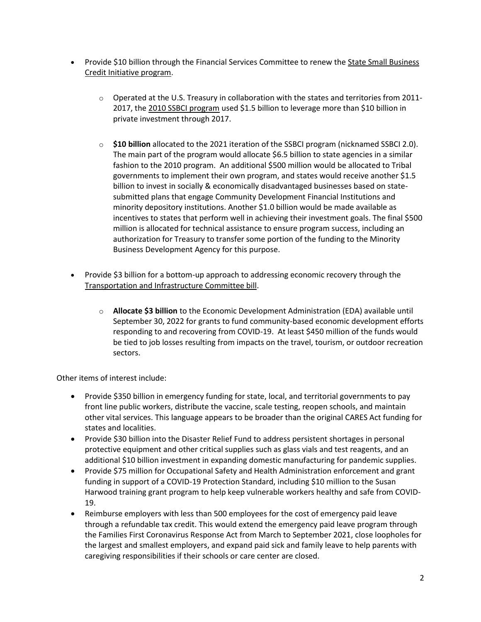- Provide \$10 billion through the Financial Services Committee to renew the [State Small Business](https://financialservices.house.gov/uploadedfiles/hmtg-117-ba00-20210210-sd003.pdf)  [Credit Initiative program.](https://financialservices.house.gov/uploadedfiles/hmtg-117-ba00-20210210-sd003.pdf)
	- $\circ$  Operated at the U.S. Treasury in collaboration with the states and territories from 2011-2017, the [2010 SSBCI program](https://www.creconline.org/resources/ssbci/) used \$1.5 billion to leverage more than \$10 billion in private investment through 2017.
	- o **\$10 billion** allocated to the 2021 iteration of the SSBCI program (nicknamed SSBCI 2.0). The main part of the program would allocate \$6.5 billion to state agencies in a similar fashion to the 2010 program. An additional \$500 million would be allocated to Tribal governments to implement their own program, and states would receive another \$1.5 billion to invest in socially & economically disadvantaged businesses based on statesubmitted plans that engage Community Development Financial Institutions and minority depository institutions. Another \$1.0 billion would be made available as incentives to states that perform well in achieving their investment goals. The final \$500 million is allocated for technical assistance to ensure program success, including an authorization for Treasury to transfer some portion of the funding to the Minority Business Development Agency for this purpose.
- Provide \$3 billion for a bottom-up approach to addressing economic recovery through the [Transportation and Infrastructure Committee bill.](https://transportation.house.gov/imo/media/doc/ANS%20to%20T&I%20Reconciliation%20Committee%20Print%20Final.pdf)
	- o **Allocate \$3 billion** to the Economic Development Administration (EDA) available until September 30, 2022 for grants to fund community-based economic development efforts responding to and recovering from COVID-19. At least \$450 million of the funds would be tied to job losses resulting from impacts on the travel, tourism, or outdoor recreation sectors.

Other items of interest include:

- Provide \$350 billion in emergency funding for state, local, and territorial governments to pay front line public workers, distribute the vaccine, scale testing, reopen schools, and maintain other vital services. This language appears to be broader than the original CARES Act funding for states and localities.
- Provide \$30 billion into the Disaster Relief Fund to address persistent shortages in personal protective equipment and other critical supplies such as glass vials and test reagents, and an additional \$10 billion investment in expanding domestic manufacturing for pandemic supplies.
- Provide \$75 million for Occupational Safety and Health Administration enforcement and grant funding in support of a COVID-19 Protection Standard, including \$10 million to the Susan Harwood training grant program to help keep vulnerable workers healthy and safe from COVID-19.
- Reimburse employers with less than 500 employees for the cost of emergency paid leave through a refundable tax credit. This would extend the emergency paid leave program through the Families First Coronavirus Response Act from March to September 2021, close loopholes for the largest and smallest employers, and expand paid sick and family leave to help parents with caregiving responsibilities if their schools or care center are closed.